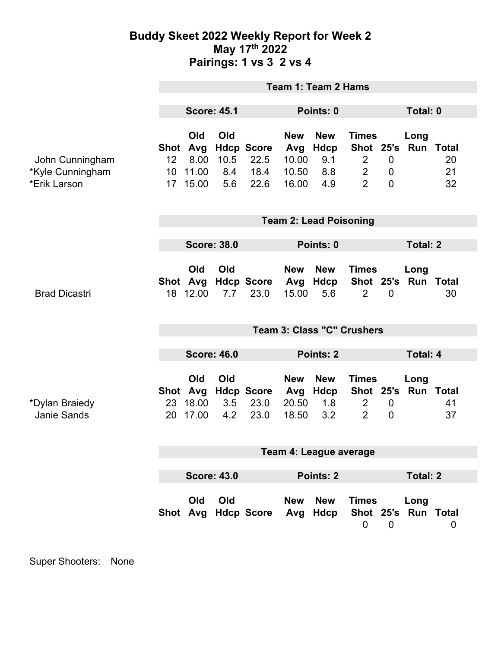## **Buddy Skeet 2022 Weekly Report for Week 2 May 17th 2022 Pairings: 1 vs 3 2 vs 4**

|                                                     | <b>Team 1: Team 2 Hams</b>        |                                         |                           |                                           |                                              |                                         |                                                                                 |                                    |                             |                |
|-----------------------------------------------------|-----------------------------------|-----------------------------------------|---------------------------|-------------------------------------------|----------------------------------------------|-----------------------------------------|---------------------------------------------------------------------------------|------------------------------------|-----------------------------|----------------|
|                                                     | <b>Score: 45.1</b>                |                                         |                           | Points: 0                                 |                                              |                                         |                                                                                 | Total: 0                           |                             |                |
| John Cunningham<br>*Kyle Cunningham<br>*Erik Larson | Shot Avg<br>12<br>10              | Old<br>8.00<br>11.00<br>17 15.00        | Old<br>10.5<br>8.4<br>5.6 | <b>Hdcp Score</b><br>22.5<br>18.4<br>22.6 | <b>New</b><br>Avg<br>10.00<br>10.50<br>16.00 | <b>New</b><br>Hdcp<br>9.1<br>8.8<br>4.9 | <b>Times</b><br>Shot 25's<br>$\overline{2}$<br>$\overline{2}$<br>$\overline{2}$ | $\mathbf 0$<br>0<br>$\overline{0}$ | Long<br><b>Run Total</b>    | 20<br>21<br>32 |
|                                                     | <b>Team 2: Lead Poisoning</b>     |                                         |                           |                                           |                                              |                                         |                                                                                 |                                    |                             |                |
|                                                     | <b>Score: 38.0</b>                |                                         |                           |                                           | Points: 0                                    |                                         |                                                                                 |                                    | <b>Total: 2</b>             |                |
| <b>Brad Dicastri</b>                                |                                   | <b>Old</b><br>18 12.00                  | Old<br>7.7                | Shot Avg Hdcp Score<br>23.0               | <b>New</b><br>Avg<br>15.00                   | <b>New</b><br>Hdcp<br>5.6               | <b>Times</b><br>Shot 25's<br>$\overline{2}$                                     | $\mathbf 0$                        | Long<br><b>Run Total</b>    | 30             |
|                                                     | <b>Team 3: Class "C" Crushers</b> |                                         |                           |                                           |                                              |                                         |                                                                                 |                                    |                             |                |
|                                                     | <b>Score: 46.0</b>                |                                         |                           |                                           | Points: 2                                    |                                         |                                                                                 | <b>Total: 4</b>                    |                             |                |
| *Dylan Braiedy<br><b>Janie Sands</b>                |                                   | Old<br>Shot Avg<br>23 18.00<br>20 17.00 | Old<br>3.5<br>4.2         | <b>Hdcp Score</b><br>23.0<br>23.0         | <b>New</b><br>20.50<br>18.50                 | <b>New</b><br>Avg Hdcp<br>1.8<br>3.2    | <b>Times</b><br>$\overline{2}$<br>$\overline{2}$                                | $\mathbf 0$<br>$\overline{0}$      | Long<br>Shot 25's Run Total | 41<br>37       |
|                                                     | Team 4: League average            |                                         |                           |                                           |                                              |                                         |                                                                                 |                                    |                             |                |
|                                                     | <b>Score: 43.0</b><br>Points: 2   |                                         |                           |                                           |                                              | <b>Total: 2</b>                         |                                                                                 |                                    |                             |                |
|                                                     |                                   | Old                                     | Old                       | Shot Avg Hdcp Score                       | <b>New</b>                                   | <b>New</b><br>Avg Hdcp                  | <b>Times</b><br>0                                                               | $\mathbf 0$                        | Long<br>Shot 25's Run Total | 0              |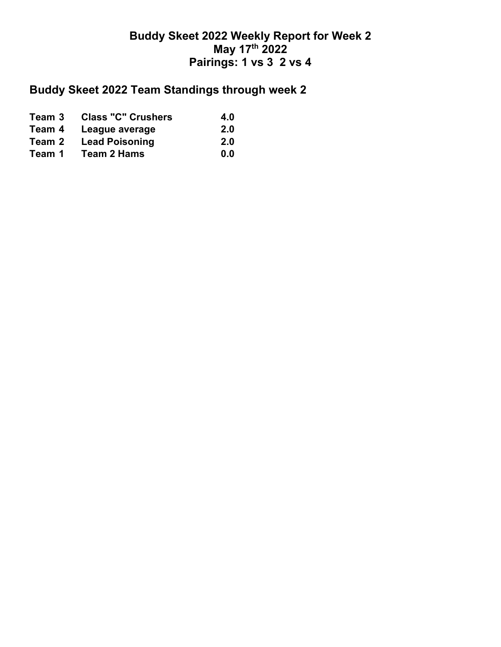## **Buddy Skeet 2022 Weekly Report for Week 2 May 17th 2022 Pairings: 1 vs 3 2 vs 4**

## **Buddy Skeet 2022 Team Standings through week 2**

| Team 3 | <b>Class "C" Crushers</b> | 4.0 |
|--------|---------------------------|-----|
| Team 4 | League average            | 2.0 |
| Team 2 | <b>Lead Poisoning</b>     | 2.0 |
| Team 1 | Team 2 Hams               | 0.0 |